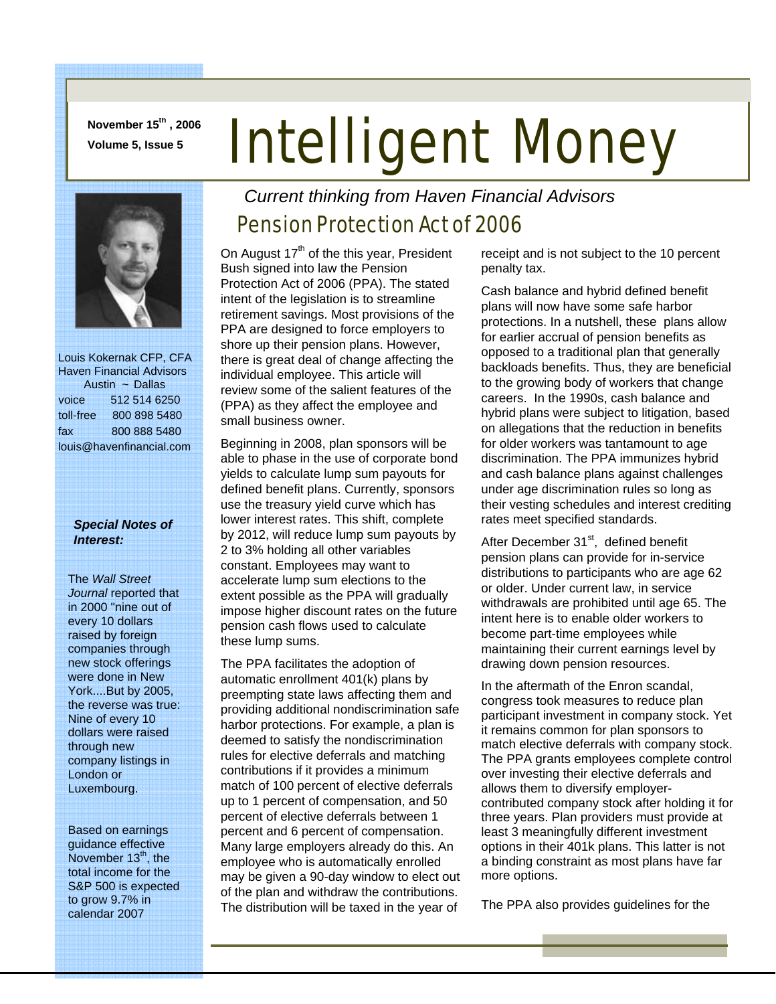**November 15th , 2006** 

# **November 15<sup>th</sup>, 2006 Intelligent Money**



 Louis Kokernak CFP, CFA Haven Financial Advisors Austin ~ Dallas voice 512 514 6250 toll-free 800 898 5480 fax 800 888 5480 louis@havenfinancial.com

#### *Special Notes of Interest:*

The *Wall Street Journal* reported that in 2000 "nine out of every 10 dollars raised by foreign companies through new stock offerings were done in New York....But by 2005, the reverse was true: Nine of every 10 dollars were raised through new company listings in London or Luxembourg.

Based on earnings guidance effective November 13<sup>th</sup>, the total income for the S&P 500 is expected to grow 9.7% in calendar 2007

## *Current thinking from Haven Financial Advisors*

### Pension Protection Act of 2006

On August  $17<sup>th</sup>$  of the this year, President Bush signed into law the Pension Protection Act of 2006 (PPA). The stated intent of the legislation is to streamline retirement savings. Most provisions of the PPA are designed to force employers to shore up their pension plans. However, there is great deal of change affecting the individual employee. This article will review some of the salient features of the (PPA) as they affect the employee and small business owner.

Beginning in 2008, plan sponsors will be able to phase in the use of corporate bond yields to calculate lump sum payouts for defined benefit plans. Currently, sponsors use the treasury yield curve which has lower interest rates. This shift, complete by 2012, will reduce lump sum payouts by 2 to 3% holding all other variables constant. Employees may want to accelerate lump sum elections to the extent possible as the PPA will gradually impose higher discount rates on the future pension cash flows used to calculate these lump sums.

The PPA facilitates the adoption of automatic enrollment 401(k) plans by preempting state laws affecting them and providing additional nondiscrimination safe harbor protections. For example, a plan is deemed to satisfy the nondiscrimination rules for elective deferrals and matching contributions if it provides a minimum match of 100 percent of elective deferrals up to 1 percent of compensation, and 50 percent of elective deferrals between 1 percent and 6 percent of compensation. Many large employers already do this. An employee who is automatically enrolled may be given a 90-day window to elect out of the plan and withdraw the contributions. The distribution will be taxed in the year of

receipt and is not subject to the 10 percent penalty tax.

Cash balance and hybrid defined benefit plans will now have some safe harbor protections. In a nutshell, these plans allow for earlier accrual of pension benefits as opposed to a traditional plan that generally backloads benefits. Thus, they are beneficial to the growing body of workers that change careers. In the 1990s, cash balance and hybrid plans were subject to litigation, based on allegations that the reduction in benefits for older workers was tantamount to age discrimination. The PPA immunizes hybrid and cash balance plans against challenges under age discrimination rules so long as their vesting schedules and interest crediting rates meet specified standards.

After December 31<sup>st</sup>, defined benefit pension plans can provide for in-service distributions to participants who are age 62 or older. Under current law, in service withdrawals are prohibited until age 65. The intent here is to enable older workers to become part-time employees while maintaining their current earnings level by drawing down pension resources.

In the aftermath of the Enron scandal, congress took measures to reduce plan participant investment in company stock. Yet it remains common for plan sponsors to match elective deferrals with company stock. The PPA grants employees complete control over investing their elective deferrals and allows them to diversify employercontributed company stock after holding it for three years. Plan providers must provide at least 3 meaningfully different investment options in their 401k plans. This latter is not a binding constraint as most plans have far more options.

The PPA also provides guidelines for the